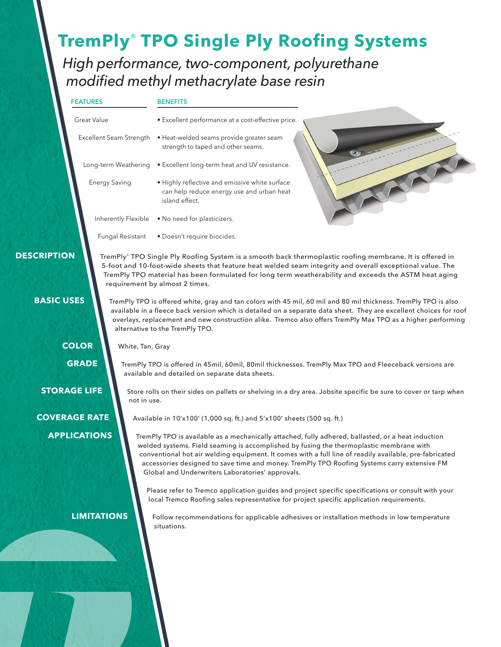# **TremPly**® **TPO Single Ply Roofing Systems**

*High performance, two-component, polyurethane modified methyl methacrylate base resin*

| the contract of the contract of<br>т. |
|---------------------------------------|
|---------------------------------------|

#### **BENEFITS**

| Great Value             |                      | • Excellent performance at a cost-effective price.                                                            |  |  |  |
|-------------------------|----------------------|---------------------------------------------------------------------------------------------------------------|--|--|--|
| Excellent Seam Strength |                      | • Heat-welded seams provide greater seam<br>strength to taped and other seams.                                |  |  |  |
| Long-term Weathering    |                      | • Excellent long-term heat and UV resistance.                                                                 |  |  |  |
|                         | <b>Energy Saving</b> | • Highly reflective and emissive white surface<br>can help reduce energy use and urban heat<br>island effect. |  |  |  |
|                         | Inherently Flexible  | • No need for plasticizers.                                                                                   |  |  |  |
|                         | Fungal Resistant     | • Doesn't require biocides.                                                                                   |  |  |  |

 **DESCRIPTION**

TremPly® TPO Single Ply Roofing System is a smooth back thermoplastic roofing membrane. It is offered in 5-foot and 10-foot-wide sheets that feature heat welded seam integrity and overall exceptional value. The TremPly TPO material has been formulated for long term weatherability and exceeds the ASTM heat aging requirement by almost 2 times.

TremPly TPO is offered white, gray and tan colors with 45 mil, 60 mil and 80 mil thickness. TremPly TPO is also available in a fleece back version which is detailed on a separate data sheet. They are excellent choices for roof

 **BASIC USES**

 **COLOR**

 **GRADE**

 **STORAGE LIFE**

 **COVERAGE RATE APPLICATIONS**

overlays, replacement and new construction alike. Tremco also offers TremPly Max TPO as a higher performing alternative to the TremPly TPO. White, Tan, Gray

TremPly TPO is offered in 45mil, 60mil, 80mil thicknesses. TremPly Max TPO and Fleeceback versions are available and detailed on separate data sheets.

Store rolls on their sides on pallets or shelving in a dry area. Jobsite specific be sure to cover or tarp when not in use.

Available in 10'x100' (1,000 sq. ft.) and 5'x100' sheets (500 sq. ft.)

TremPly TPO is available as a mechanically attached, fully adhered, ballasted, or a heat induction welded systems. Field seaming is accomplished by fusing the thermoplastic membrane with conventional hot air welding equipment. It comes with a full line of readily available, pre-fabricated accessories designed to save time and money. TremPly TPO Roofing Systems carry extensive FM Global and Underwriters Laboratories' approvals.

Please refer to Tremco application guides and project specific specifications or consult with your local Tremco Roofing sales representative for project specific application requirements.

 **LIMITATIONS**

Follow recommendations for applicable adhesives or installation methods in low temperature situations.